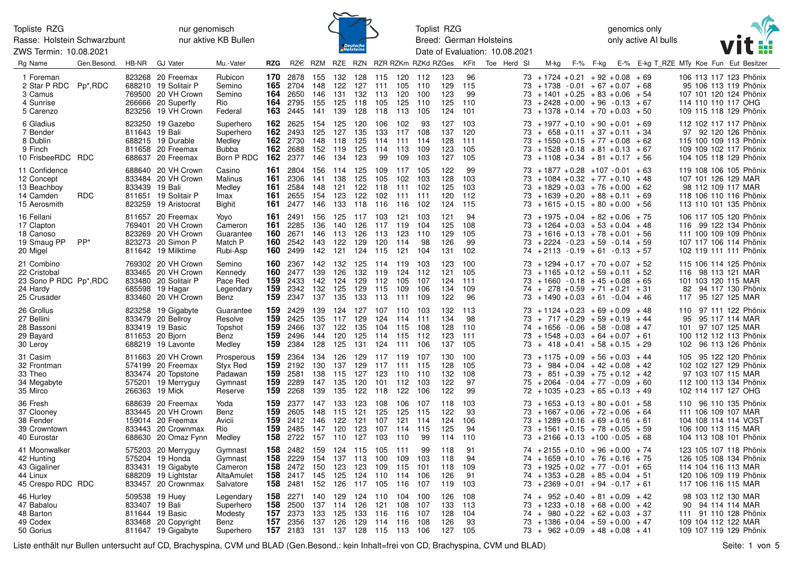Rasse: Holstein Schwarzbunt ZWS Termin: 10.08.2021

nur genomisch nur aktive KB Bullen



Toplist RZG Breed: German Holsteins Date of Evaluation: 10.08.2021 genomics only only active AI bulls



| Rg Name                                                                         | Gen.Besond. | HB-NR          | <b>GJ Vater</b>                                                                                             | Mu.-Vater                                                      | <b>RZG</b>                      |                                          |                                 |                                 |                                 |                                                 |                                   | RZ€ RZM RZE RZN RZR RZKm RZKd RZGes |                                 | KFit                            | Toe Herd SI | M-kg                                                                                                                                                                                             | F-% F-kg | E-% E-kg T RZE MTy Koe Fun Eut Besitzer |                                                                                                                               |                |                   |
|---------------------------------------------------------------------------------|-------------|----------------|-------------------------------------------------------------------------------------------------------------|----------------------------------------------------------------|---------------------------------|------------------------------------------|---------------------------------|---------------------------------|---------------------------------|-------------------------------------------------|-----------------------------------|-------------------------------------|---------------------------------|---------------------------------|-------------|--------------------------------------------------------------------------------------------------------------------------------------------------------------------------------------------------|----------|-----------------------------------------|-------------------------------------------------------------------------------------------------------------------------------|----------------|-------------------|
| 1 Foreman<br>2 Star P RDC Pp*, RDC<br>3 Camus<br>4 Sunrise<br>5 Carenzo         |             |                | 823268 20 Freemax<br>688210 19 Solitair P<br>769500 20 VH Crown<br>266666 20 Superfly<br>823256 19 VH Crown | Rubicon<br>Semino<br>Semino<br>Rio<br>Federal                  | 170<br>165<br>164<br>164<br>163 | 2878<br>2704<br>2650<br>2795<br>2445     | 155<br>148<br>146<br>155<br>141 | 132<br>122<br>131<br>125<br>139 | 128<br>127<br>132<br>118<br>128 | 115<br>111<br>- 113<br>105<br>118               | 120<br>105<br>120<br>125<br>113   | - 112<br>110<br>100<br>110<br>105   | 123<br>129<br>123<br>125<br>124 | 96<br>115<br>99<br>110<br>101   |             | $73 + 1724 + 0.21 + 92 + 0.08 + 69$<br>$73 + 1738 - 0.01 + 67 + 0.07 + 68$<br>$73 + 1401 + 0.25 + 83 + 0.06 + 54$<br>$73 + 2428 + 0.00 + 96 - 0.13 + 67$<br>$73 + 1378 + 0.14 + 70 + 0.03 + 50$  |          |                                         | 106 113 117 123 Phönix<br>95 106 113 119 Phönix<br>107 101 120 124 Phönix<br>114 110 110 117 OHG<br>109 115 118 129 Phönix    |                |                   |
| 6 Gladius<br>7 Bender<br>8 Dublin<br>9 Finch<br>10 FrisbeeRDC RDC               |             | 811643 19 Bali | 823250 19 Gazebo<br>688215 19 Durable<br>811658 20 Freemax<br>688637 20 Freemax                             | Superhero<br>Superhero<br>Medley<br><b>Bubba</b><br>Born P RDC | 162<br>162<br>162<br>162<br>162 | 2625<br>2493<br>2730<br>2688<br>2377     | 154<br>125<br>148<br>152<br>146 | 125<br>127<br>118<br>119<br>134 | 120<br>135<br>125<br>125<br>123 | 106<br>133<br>114 111<br>114<br>99              | 102<br>117<br>113<br>109          | 93<br>108<br>114<br>109<br>103      | 127<br>137<br>128<br>123<br>127 | 103<br>120<br>111<br>105<br>105 |             | $73 + 1977 + 0.10 + 90 + 0.01 + 69$<br>$73 + 658 + 0.11 + 37 + 0.11 + 34$<br>$73 + 1550 + 0.15 + 77 + 0.08 + 62$<br>$73 + 1528 + 0.18 + 81 + 0.13 + 67$<br>$73 + 1108 + 0.34 + 81 + 0.17 + 56$   |          |                                         | 112 102 117 117 Phönix<br>97 92 120 126 Phönix<br>115 100 109 113 Phönix<br>109 109 102 117 Phönix<br>104 105 118 129 Phönix  |                |                   |
| 11 Confidence<br>12 Concept<br>13 Beachboy<br>14 Camden<br>15 Aerosmith         | <b>RDC</b>  | 833439 19 Bali | 688640 20 VH Crown<br>833484 20 VH Crown<br>811651 19 Solitair P<br>823259 19 Aristocrat                    | Casino<br>Malinus<br>Medley<br>Imax<br>Bighit                  | 161<br>161<br>161<br>161<br>161 | 2804<br>2306<br>2584<br>2655<br>2477     | 156<br>141<br>148<br>154<br>146 | 114<br>138<br>121<br>123<br>133 | 125<br>125<br>122<br>122<br>118 | 109<br>105<br>118<br>102<br>116                 | 117<br>102<br>- 111<br>111<br>116 | 105<br>103<br>102<br>111<br>102     | 122<br>128<br>125<br>120<br>124 | 99<br>103<br>103<br>112<br>115  |             | $73 + 1877 + 0.28 + 107 - 0.01 + 63$<br>$73 + 1084 + 0.32 + 77 + 0.10 + 48$<br>$73 + 1829 + 0.03 + 76 + 0.00 + 62$<br>$73 + 1639 + 0.20 + 88 + 0.11 + 69$<br>$73 + 1615 + 0.15 + 80 + 0.00 + 56$ |          |                                         | 119 108 106 105 Phönix<br>107 101 126 129 MAR<br>98 112 109 117 MAR<br>118 106 110 116 Phönix<br>113 110 101 135 Phönix       |                |                   |
| 16 Fellani<br>17 Clapton<br>18 Canoso<br>19 Smaug PP<br>20 Migel                | PP*         |                | 811657 20 Freemax<br>769401 20 VH Crown<br>823269 20 VH Crown<br>823273 20 Simon P<br>811642 19 Milktime    | Yoyo<br>Cameron<br>Guarantee<br>Match P<br>Rubi-Asp            | 161<br>161<br>160<br>160<br>160 | 2491<br>2285<br>2671<br>2542<br>2499     | 156<br>136<br>146<br>143<br>142 | 125<br>140<br>113<br>122<br>121 | 117<br>126<br>126<br>129        | 103<br>117<br>113<br>120<br>124 115             | 121<br>119<br>123<br>114<br>121   | 103<br>104<br>110<br>98<br>104      | 121<br>125<br>129<br>126<br>131 | 94<br>108<br>105<br>99<br>102   |             | $73 + 1975 + 0.04 + 82 + 0.06 + 75$<br>$73 + 1264 + 0.03 + 53 + 0.04 + 48$<br>$73 + 1616 + 0.13 + 78 + 0.01 + 56$<br>$73 + 2224 - 0.23 + 59 - 0.14 + 59$<br>$74 + 2113 - 0.19 + 61 - 0.13 + 57$  |          |                                         | 106 117 105 120 Phönix<br>116 99 122 134 Phönix<br>111 100 109 109 Phönix<br>107 117 106 114 Phönix<br>102 119 111 111 Phönix |                |                   |
| 21 Combino<br>22 Cristobal<br>23 Sono P RDC Pp*, RDC<br>24 Hardy<br>25 Crusader |             |                | 769302 20 VH Crown<br>833465 20 VH Crown<br>833480 20 Solitair P<br>685598 19 Hagar<br>833460 20 VH Crown   | Semino<br>Kennedy<br>Pace Red<br>Legendary<br>Benz             | 160<br>160<br>159<br>159<br>159 | 2367<br>2477<br>2433<br>2342<br>2347     | 142<br>139<br>142<br>132<br>137 | 132<br>126<br>124<br>125<br>135 | 125<br>132<br>129<br>129<br>133 | 114 119<br>119<br>112<br>115<br>113             | 124<br>105<br>109<br>111          | 103<br>112<br>107<br>106<br>109     | 123<br>121<br>124<br>134<br>122 | 100<br>105<br>111<br>109<br>96  |             | $73 + 1294 + 0.17 + 70 + 0.07 + 52$<br>$73 + 1165 + 0.12 + 59 + 0.11 + 52$<br>$73 + 1660 - 0.18 + 45 + 0.08 + 65$<br>$74 + 278 + 0.59 + 71 + 0.21 + 31$<br>$73 + 1490 + 0.03 + 61 - 0.04 + 46$   |          |                                         | 115 106 114 125 Phönix<br>116 98 113 121 MAR<br>101 103 120 115 MAR<br>82<br>117 95 127 125 MAR                               |                | 94 117 130 Phönix |
| 26 Grollus<br>27 Bellini<br>28 Bassoni<br>29 Bayard<br>30 Leroy                 |             |                | 823258 19 Gigabyte<br>833479 20 Bellroy<br>833419 19 Basic<br>811653 20 Bjorn<br>688219 19 Lavonte          | Guarantee<br>Resolve<br>Topshot<br>Benz<br>Medley              | 159<br>159<br>159<br>159<br>159 | 2429<br>2425<br>2466<br>2496<br>2384     | 139<br>135<br>137<br>144<br>128 | 124<br>117<br>122<br>120<br>125 | 127<br>129<br>135<br>125<br>131 | 107 110<br>124 114<br>104 115<br>114<br>124 111 | 115                               | 103<br>111<br>108<br>-112<br>106    | 132<br>134<br>128<br>123<br>137 | 113<br>98<br>110<br>111<br>105  |             | $73 + 1124 + 0.23 + 69 + 0.09 + 48$<br>$73 + 717 + 0.29 + 59 + 0.19 + 44$<br>$74 + 1656 - 0.06 + 58 - 0.08 + 47$<br>$73 + 1548 + 0.03 + 64 + 0.07 + 61$<br>$73 + 418 + 0.41 + 58 + 0.15 + 29$    |          |                                         | 110 97 111 122 Phönix<br>95<br>101 97 107 125 MAR<br>100 112 112 113 Phönix<br>102 96 113 126 Phönix                          | 95 117 114 MAR |                   |
| 31 Casim<br>32 Frontman<br>33 Theo<br>34 Megabyte<br>35 Mirco                   |             |                | 811663 20 VH Crown<br>574199 20 Freemax<br>833474 20 Topstone<br>575201 19 Merryguy<br>266363 19 Mick       | Prosperous<br>Styx Red<br>Padawan<br>Gymnast<br>Reserve        | 159<br>159<br>159<br>159<br>159 | 2364<br>2192<br>2581<br>2289<br>2268     | 134<br>130<br>138<br>147<br>139 | 126<br>137<br>115<br>135<br>135 | 129<br>129<br>127<br>120<br>122 | 117 119<br>117 111<br>123<br>101<br>118         | 110<br>112<br>122                 | 107<br>115<br>110<br>103<br>106     | 130<br>128<br>132<br>122<br>122 | 100<br>105<br>108<br>97<br>99   |             | $73 + 1175 + 0.09 + 56 + 0.03 + 44$<br>$73 + 984 + 0.04 + 42 + 0.08 + 42$<br>$73 + 851 + 0.39 + 75 + 0.12 + 42$<br>$75 + 2064 - 0.04 + 77 - 0.09 + 60$<br>$72 + 1035 + 0.23 + 65 + 0.13 + 49$    |          |                                         | 105 95 122 120 Phönix<br>102 102 127 129 Phönix<br>97 103 107 115 MAR<br>112 100 113 134 Phönix<br>102 114 117 127 OHG        |                |                   |
| 36 Fresh<br>37 Clooney<br>38 Fender<br>39 Crowntown<br>40 Eurostar              |             |                | 688639 20 Freemax<br>833445 20 VH Crown<br>159014 20 Freemax<br>833443 20 Crownmax<br>688630 20 Omaz Fynn   | Yoda<br>Benz<br>Avicii<br>Rio<br>Medley                        | 159<br>159<br>159<br>159<br>158 | 2377<br>2605<br>2412<br>2485<br>2722     | 147<br>148<br>146<br>147<br>157 | 133<br>115<br>122<br>120<br>110 | 123<br>121<br>121<br>123<br>127 | 108<br>125<br>107<br>107<br>103                 | 106<br>125<br>121<br>- 114<br>110 | 107<br>115<br>114<br>-115<br>99     | 118<br>122<br>124<br>125<br>114 | 103<br>93<br>106<br>94<br>110   |             | $73 + 1653 + 0.13 + 80 + 0.01 + 58$<br>$73 + 1667 + 0.06 + 72 + 0.06 + 64$<br>$73 + 1289 + 0.16 + 69 + 0.16 + 61$<br>$73 + 1561 + 0.15 + 78 + 0.05 + 59$<br>$73 + 2166 + 0.13 + 100 - 0.05 + 68$ |          |                                         | 110 96 110 135 Phönix<br>111 106 109 107 MAR<br>104 108 114 114 VOST<br>106 100 113 115 MAR<br>104 113 108 101 Phönix         |                |                   |
| 41 Moonwalker<br>42 Hunting<br>43 Gigaliner<br>44 Linux<br>45 Crespo RDC RDC    |             |                | 575203 20 Merryguy<br>575204 19 Honda<br>833431 19 Gigabyte<br>688209 19 Lightstar<br>833457 20 Crownmax    | Gymnast<br>Gymnast<br>Cameron<br>AltaAmulet<br>Salvatore       | 158<br>158<br>158<br>158<br>158 | 2482<br>2229<br>2472<br>2417<br>2481     | 159<br>154<br>150<br>145<br>152 | 124<br>137<br>123<br>125<br>126 | 115<br>113<br>123<br>124<br>117 | 105<br>100<br>109<br>110<br>105                 | - 111<br>109<br>115<br>114<br>116 | 99<br>103<br>101<br>106<br>107      | 118<br>118<br>118<br>126<br>119 | 91<br>94<br>109<br>91<br>103    |             | $74 + 2155 + 0.10 + 96 + 0.00 + 74$<br>$74 + 1659 + 0.10 + 76 + 0.16 + 75$<br>$73 + 1925 + 0.02 + 77 - 0.01 + 65$<br>$74 + 1353 + 0.28 + 85 + 0.04 + 51$<br>$73 + 2369 + 0.01 + 94 - 0.17 + 61$  |          |                                         | 123 105 107 118 Phönix<br>126 105 108 134 Phönix<br>114 104 116 113 MAR<br>120 106 109 119 Phönix<br>117 106 116 115 MAR      |                |                   |
| 46 Hurley<br>47 Babalou<br>48 Barton<br>49 Codex<br>50 Gorius                   |             |                | 509538 19 Huey<br>833407 19 Bali<br>811644 19 Basic<br>833468 20 Copyright<br>811647 19 Gigabyte            | Legendary<br>Superhero<br>Modesty<br>Benz<br>Superhero         | 158<br>158<br>157<br>157<br>157 | 2271<br>2500<br>2373<br>2356<br>2183 131 | 140<br>137<br>133<br>137        | 129<br>114<br>125<br>126        | 124 110<br>126<br>133<br>129    | 121<br>116<br>114 116<br>137 128 115 113        | 104<br>108<br>116                 | 100<br>107<br>107<br>108<br>106     | 126<br>133<br>128<br>126<br>127 | 108<br>113<br>104<br>93<br>105  |             | $74 + 952 + 0.40 + 81 + 0.09 + 42$<br>$73 + 1233 + 0.18 + 68 + 0.00 + 42$<br>$74 + 980 + 0.22 + 62 + 0.03 + 37$<br>$73 + 1386 + 0.04 + 59 + 0.00 + 47$<br>$73 + 962 + 0.09 + 48 + 0.08 + 41$     |          |                                         | 98 103 112 130 MAR<br>90<br>111 91 110 128 Phönix<br>109 104 112 122 MAR<br>109 107 119 129 Phönix                            | 94 114 114 MAR |                   |

Liste enthält nur Bullen untersucht auf CD, Brachyspina, CVM und BLAD (Gen.Besond.: kein Inhalt=frei von CD, Brachyspina, CVM und BLAD) Seite: 1 von 5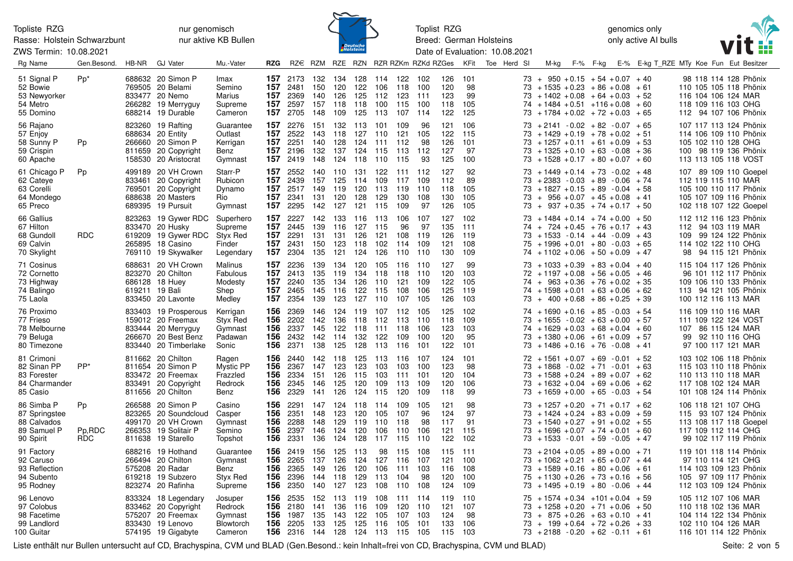Rasse: Holstein Schwarzbunt ZWS Termin: 10.08.2021

## nur genomisch nur aktive KB Bullen



Toplist RZG Breed: German Holsteins Date of Evaluation: 10.08.2021 genomics only only active AI bulls



| Rg Name                                                                | Gen.Besond.         | HB-NR | <b>GJ Vater</b>                                                                                                | Mu.-Vater                                               | RZG                             |                                                              |                                 |                                     |                                 |                                     |                                    | RZ€ RZM RZE RZN RZR RZKm RZKd RZGes  |                                 | KFit                              | Toe Herd SI | M-kg                                                                                                                                                                                            | F-% F-kg |  | E-% E-kg T RZE MTy Koe Fun Eut Besitzer |           |                                                                                                                            |  |
|------------------------------------------------------------------------|---------------------|-------|----------------------------------------------------------------------------------------------------------------|---------------------------------------------------------|---------------------------------|--------------------------------------------------------------|---------------------------------|-------------------------------------|---------------------------------|-------------------------------------|------------------------------------|--------------------------------------|---------------------------------|-----------------------------------|-------------|-------------------------------------------------------------------------------------------------------------------------------------------------------------------------------------------------|----------|--|-----------------------------------------|-----------|----------------------------------------------------------------------------------------------------------------------------|--|
| 51 Signal P<br>52 Bowie<br>53 Newyorker<br>54 Metro<br>55 Domino       | $Pp^*$              |       | 688632 20 Simon P<br>769505 20 Belami<br>833477 20 Nemo<br>266282 19 Merryguy<br>688214 19 Durable             | Imax<br>Semino<br>Marius<br>Supreme<br>Cameron          | 157<br>157<br>157<br>157        | 2173<br>2481<br>157 2369<br>2597<br>2705                     | 132<br>150<br>140<br>157<br>148 | 134<br>120<br>126<br>118<br>109     | 128<br>122<br>125<br>118<br>125 | 114 122<br>106<br>112<br>100<br>113 | 118<br>123<br>115<br>107           | - 102<br>100<br>$-111$<br>100<br>114 | 126<br>120<br>123<br>118<br>122 | 101<br>98<br>99<br>105<br>125     |             | $73 + 950 + 0.15 + 54 + 0.07 + 40$<br>$73 + 1535 + 0.23 + 86 + 0.08 + 61$<br>$73 + 1402 + 0.08 + 64 + 0.03 + 52$<br>$74 + 1484 + 0.51 + 116 + 0.08 + 60$<br>$73 + 1784 + 0.02 + 72 + 0.03 + 65$ |          |  |                                         |           | 98 118 114 128 Phönix<br>110 105 105 118 Phönix<br>116 104 106 124 MAR<br>118 109 116 103 OHG<br>112 94 107 106 Phönix     |  |
| 56 Rajano<br>57 Enjoy<br>58 Sunny P<br>59 Crispin<br>60 Apache         | Pp                  |       | 823260 19 Rafting<br>688634 20 Entity<br>266660 20 Simon P<br>811659 20 Copyright<br>158530 20 Aristocrat      | Guarantee<br>Outlast<br>Kerrigan<br>Benz<br>Gymnast     | 157<br>157<br>157<br>157<br>157 | 2276<br>2522<br>2251<br>2196<br>2419                         | 151<br>143<br>140<br>132<br>148 | 132<br>118<br>128<br>137<br>124     | 113<br>127<br>124<br>124<br>118 | 101<br>110<br>111<br>115<br>110     | 109<br>121<br>112<br>113<br>115    | 96<br>105<br>98<br>112<br>93         | 121<br>122<br>126<br>127<br>125 | 106<br>115<br>101<br>97<br>100    |             | $73 + 2141 - 0.02 + 82 - 0.07 + 65$<br>$73 + 1429 + 0.19 + 78 + 0.02 + 51$<br>$73 + 1257 + 0.11 + 61 + 0.09 + 53$<br>$73 + 1325 + 0.10 + 63 - 0.08 + 36$<br>$73 + 1528 + 0.17 + 80 + 0.07 + 60$ |          |  |                                         |           | 107 117 113 124 Phönix<br>114 106 109 110 Phönix<br>105 102 110 128 OHG<br>100 98 119 136 Phönix<br>113 113 105 118 VOST   |  |
| 61 Chicago P<br>62 Cateye<br>63 Corelli<br>64 Mondego<br>65 Preco      | Pp                  |       | 499189 20 VH Crown<br>833461 20 Copyright<br>769501 20 Copyright<br>688638 20 Masters<br>689395 19 Pursuit     | Starr-P<br>Rubicon<br>Dynamo<br>Rio<br>Gymnast          | 157<br>157<br>157<br>157<br>157 | 2552<br>2439<br>2517<br>2341<br>2295                         | 140<br>157<br>149<br>131<br>142 | 110<br>125<br>119<br>120<br>127     | 131<br>114<br>120<br>128<br>121 | 122<br>109<br>113<br>129<br>115     | -111<br>117<br>119<br>130<br>109   | - 112<br>109<br>110<br>108<br>97     | 127<br>112<br>118<br>130<br>126 | 92<br>89<br>105<br>105<br>105     |             | $73 + 1449 + 0.14 + 73 - 0.02 + 48$<br>$73 + 2383 - 0.03 + 89 - 0.06 + 74$<br>$73 + 1827 + 0.15 + 89 - 0.04 + 58$<br>$73 + 956 + 0.07 + 45 + 0.08 + 41$<br>$73 + 937 + 0.35 + 74 + 0.17 + 50$   |          |  |                                         |           | 107 89 109 110 Goepel<br>112 119 115 110 MAR<br>105 100 110 117 Phönix<br>105 107 109 116 Phönix<br>102 118 107 122 Goepel |  |
| 66 Gallius<br>67 Hilton<br>68 Gundoll<br>69 Calvin<br>70 Skylight      | <b>RDC</b>          |       | 823263 19 Gywer RDC<br>833470 20 Husky<br>619209 19 Gywer RDC<br>265895 18 Casino<br>769110 19 Skywalker       | Superhero<br>Supreme<br>Styx Red<br>Finder<br>Legendary | 157<br>157<br>157<br>157        | 2227<br>2445<br>2291<br>2431<br>157 2304                     | 142<br>139<br>131<br>150<br>135 | 133<br>116<br>131<br>123<br>121 124 | 116<br>127<br>126<br>118        | 113<br>115<br>121<br>102<br>126     | 106<br>96<br>108<br>114<br>110 110 | 107<br>97<br>119<br>109              | 127<br>135<br>126<br>121<br>130 | 102<br>111<br>119<br>108<br>109   |             | $73 + 1484 + 0.14 + 74 + 0.00 + 50$<br>$74 + 724 + 0.45 + 76 + 0.17 + 43$<br>$73 + 1533 - 0.14 + 44 - 0.09 + 43$<br>$75 + 1996 + 0.01 + 80 - 0.03 + 65$<br>$74 + 1102 + 0.06 + 50 + 0.09 + 47$  |          |  |                                         | 109<br>98 | 112 112 116 123 Phönix<br>112 94 103 119 MAR<br>99 124 122 Phönix<br>114 102 122 110 OHG<br>94 115 121 Phönix              |  |
| 71 Cosinus<br>72 Cornetto<br>73 Highway<br>74 Balingo<br>75 Laola      |                     |       | 688631 20 VH Crown<br>823270 20 Chilton<br>686128 18 Huey<br>619211 19 Bali<br>833450 20 Lavonte               | Malinus<br>Fabulous<br>Modesty<br>Shep<br>Medley        | 157<br>157<br>157<br>157<br>157 | 2236<br>2413<br>2240<br>2465<br>2354                         | 139<br>135<br>135<br>145<br>139 | 134<br>119<br>134<br>116<br>123     | 120<br>134<br>126<br>122<br>127 | 105<br>118<br>110<br>115<br>110     | 116<br>118<br>-121<br>108<br>107   | 110<br>- 110<br>109<br>106<br>105    | 127<br>120<br>122<br>125<br>126 | 99<br>103<br>105<br>119<br>103    |             | $73 + 1033 + 0.39 + 83 + 0.04 + 40$<br>$72 + 1197 + 0.08 + 56 + 0.05 + 46$<br>$74 + 963 + 0.36 + 76 + 0.02 + 35$<br>$74 + 1598 + 0.01 + 63 + 0.06 + 62$<br>$73 + 400 + 0.68 + 86 + 0.25 + 39$   |          |  |                                         |           | 115 104 117 126 Phönix<br>96 101 112 117 Phönix<br>109 106 110 133 Phönix<br>113 94 121 105 Phönix<br>100 112 116 113 MAR  |  |
| 76 Proximo<br>77 Frieso<br>78 Melbourne<br>79 Beluga<br>80 Timezone    |                     |       | 833403 19 Prosperous<br>159012 20 Freemax<br>833444 20 Merryguy<br>266670 20 Best Benz<br>833440 20 Timberlake | Kerrigan<br>Styx Red<br>Gymnast<br>Padawan<br>Sonic     | 156<br>156<br>156<br>156<br>156 | 2369<br>2202<br>2337<br>2432<br>2371                         | 146<br>142<br>145<br>142<br>138 | 124<br>136<br>122<br>114<br>125     | 119<br>118<br>118<br>132<br>128 | 107<br>112<br>111 118<br>122<br>113 | 112<br>113<br>109<br>- 116         | - 105<br>-110<br>106<br>100<br>-101  | 125<br>118<br>123<br>120<br>122 | 102<br>109<br>103<br>95<br>101    |             | $74 + 1690 + 0.16 + 85 - 0.03 + 54$<br>$73 + 1655 - 0.02 + 63 + 0.00 + 57$<br>$74 + 1629 + 0.03 + 68 + 0.04 + 60$<br>$73 + 1380 + 0.06 + 61 + 0.09 + 57$<br>$73 + 1486 + 0.16 + 76 - 0.08 + 41$ |          |  |                                         | 99        | 116 109 110 116 MAR<br>111 109 122 124 VOST<br>107 86 115 124 MAR<br>92 110 116 OHG<br>97 100 117 121 MAR                  |  |
| 81 Crimoni<br>82 Sinan PP<br>83 Forester<br>84 Charmander<br>85 Casio  | PP <sup>*</sup>     |       | 811662 20 Chilton<br>811654 20 Simon P<br>833472 20 Freemax<br>833491 20 Copyright<br>811656 20 Chilton        | Ragen<br>Mystic PP<br>Frazzled<br>Redrock<br>Benz       | 156<br>156<br>156<br>156<br>156 | 2440<br>2367<br>2334<br>2345<br>2329                         | 142<br>147<br>151<br>146<br>141 | 118<br>123<br>126<br>125<br>126     | 125<br>123<br>115<br>120<br>124 | 113<br>103<br>103<br>109<br>115     | 116<br>103<br>111<br>113<br>120    | - 107<br>100<br>101<br>109<br>109    | 124<br>123<br>120<br>120<br>118 | 101<br>98<br>104<br>106<br>99     |             | $72 + 1561 + 0.07 + 69 - 0.01 + 52$<br>$73 + 1868 - 0.02 + 71 - 0.01 + 63$<br>$+1588 + 0.24 + 89 + 0.07 + 62$<br>$73 + 1632 + 0.04 + 69 + 0.06$<br>$73 + 1659 + 0.00 + 65 - 0.03 + 54$          |          |  | + 62                                    |           | 103 102 106 118 Phönix<br>115 103 110 118 Phönix<br>110 113 110 118 MAR<br>117 108 102 124 MAR<br>101 108 124 114 Phönix   |  |
| 86 Simba P<br>87 Springstee<br>88 Calvados<br>89 Samuel P<br>90 Spirit | Pp<br>Pp,RDC<br>RDC |       | 266588 20 Simon P<br>823265 20 Soundcloud<br>499170 20 VH Crown<br>266353 19 Solitair P<br>811638 19 Starello  | Casino<br>Casper<br>Gymnast<br>Semino<br>Topshot        | 156<br>156<br>156<br>156<br>156 | 2291<br>2351<br>2288<br>2397<br>2331                         | 147<br>148<br>148<br>146<br>136 | 124<br>123<br>129<br>124<br>124     | 118<br>120<br>119<br>120<br>128 | 114<br>105<br>110<br>106<br>117     | 109<br>107<br>118<br>110<br>115    | 105<br>96<br>98<br>106<br>110        | 121<br>124<br>117<br>121<br>122 | 98<br>97<br>91<br>115<br>102      |             | $73 + 1257 + 0.20 + 71 + 0.17 + 62$<br>$73 + 1424 + 0.24 + 83 + 0.09 + 59$<br>$73 + 1540 + 0.27 + 91 + 0.02 + 55$<br>$73 + 1696 + 0.07 + 74 + 0.01 + 60$<br>$73 + 1533 - 0.01 + 59 - 0.05 + 47$ |          |  |                                         |           | 106 118 121 107 OHG<br>115 93 107 124 Phönix<br>113 108 117 118 Goepel<br>117 109 112 114 OHG<br>99 102 117 119 Phönix     |  |
| 91 Factory<br>92 Caruso<br>93 Reflection<br>94 Subento<br>95 Rodney    |                     |       | 688216 19 Hothand<br>266494 20 Chilton<br>575208 20 Radar<br>619218 19 Subzero<br>823274 20 Rafinha            | Guarantee<br>Gymnast<br>Benz<br>Styx Red<br>Supreme     | 156<br>156<br>156<br>156<br>156 | 2419 156<br>2265<br>2365<br>2396<br>2350                     | 137<br>149<br>144<br>140        | 125<br>126<br>126<br>118<br>127     | 113<br>124<br>120<br>129<br>123 | 98<br>127<br>106<br>113<br>108      | 115<br>116<br>111<br>104<br>110    | - 108<br>107<br>103<br>98<br>108     | 115<br>121<br>116<br>120<br>124 | - 111<br>100<br>108<br>100<br>109 |             | $73 + 2104 + 0.05 + 89 + 0.00 + 71$<br>$73 + 1062 + 0.21 + 65 + 0.07 + 44$<br>$73 + 1589 + 0.16 + 80 + 0.06 + 61$<br>$75 + 1130 + 0.26 + 73 + 0.16 + 56$<br>$73 + 1495 + 0.19 + 80 - 0.06$      |          |  | + 44                                    |           | 119 101 118 114 Phönix<br>97 110 114 121 OHG<br>114 103 109 123 Phönix<br>105 97 109 117 Phönix<br>112 103 109 124 Phönix  |  |
| 96 Lenovo<br>97 Colobus<br>98 Facetime<br>99 Landlord<br>100 Guitar    |                     |       | 833324 18 Legendary<br>833462 20 Copyright<br>575207 20 Freemax<br>833430 19 Lenovo<br>574195 19 Gigabyte      | Josuper<br>Redrock<br>Gymnast<br>Blowtorch<br>Cameron   | 156<br>156<br>156<br>156        | 2535<br>2180<br>1987<br>2205<br>156 2316 144 128 124 113 115 | 152<br>141<br>135<br>133        | 113<br>136<br>143<br>125            | 119<br>116<br>122<br>125        | 108<br>109<br>105<br>116            | 111<br>120<br>107<br>105           | 114<br>110<br>103<br>101<br>105      | 119<br>121<br>124<br>133<br>115 | 110<br>107<br>98<br>106<br>103    |             | $75 + 1574 + 0.34 + 101 + 0.04 + 59$<br>$73 + 1258 + 0.20 + 71 + 0.06 + 50$<br>$73 + 875 + 0.26 + 63 + 0.10 + 41$<br>$73 + 199 + 0.64 + 72 + 0.26 + 33$<br>$73 + 2188 - 0.20 + 62 - 0.11 + 61$  |          |  |                                         |           | 105 112 107 106 MAR<br>110 118 102 136 MAR<br>104 114 122 134 Phönix<br>102 110 104 126 MAR<br>116 101 114 122 Phönix      |  |

Liste enthält nur Bullen untersucht auf CD, Brachyspina, CVM und BLAD (Gen.Besond.: kein Inhalt=frei von CD, Brachyspina, CVM und BLAD)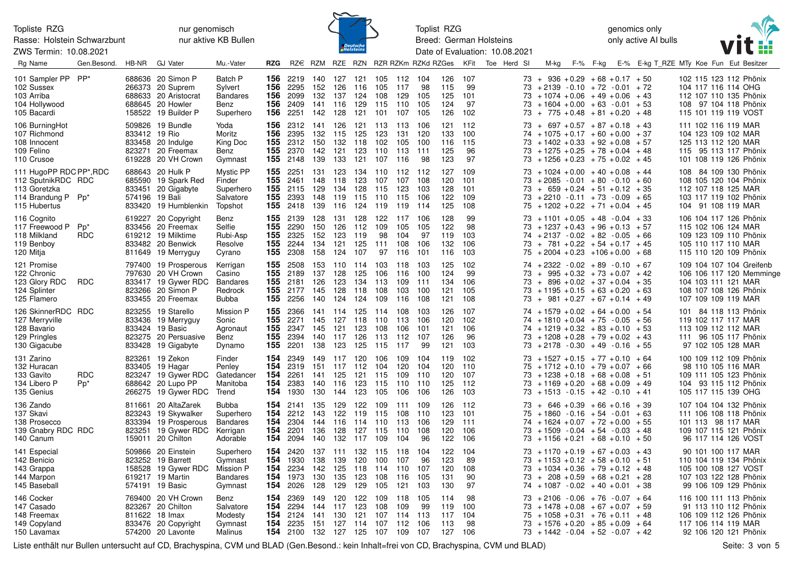Rasse: Holstein Schwarzbunt ZWS Termin: 10.08.2021

nur genomisch nur aktive KB Bullen



Toplist RZG Breed: German Holsteins Date of Evaluation: 10.08.2021 genomics only only active AI bulls



| Rg Name                                                                                             | Gen.Besond.          | HB-NR          | <b>GJ Vater</b>                                                                                                | Mu.-Vater                                                            | <b>RZG</b>        |                                                                                  |                                 |                                                     |                                         |                                                     |                                             | RZ€ RZM RZE RZN RZR RZKm RZKd RZGes |                                 | KFit                            | Toe Herd SI |                            |                                                                                                                                                                                    | M-kg F-% F-kg |  | E-% E-kg T RZE MTy Koe Fun Eut Besitzer |                                                                   |                     |                                                                                                    |  |
|-----------------------------------------------------------------------------------------------------|----------------------|----------------|----------------------------------------------------------------------------------------------------------------|----------------------------------------------------------------------|-------------------|----------------------------------------------------------------------------------|---------------------------------|-----------------------------------------------------|-----------------------------------------|-----------------------------------------------------|---------------------------------------------|-------------------------------------|---------------------------------|---------------------------------|-------------|----------------------------|------------------------------------------------------------------------------------------------------------------------------------------------------------------------------------|---------------|--|-----------------------------------------|-------------------------------------------------------------------|---------------------|----------------------------------------------------------------------------------------------------|--|
| 101 Sampler PP PP*<br>102 Sussex<br>103 Arriba<br>104 Hollywood<br>105 Bacardi                      |                      |                | 688636 20 Simon P<br>266373 20 Suprem<br>688633 20 Aristocrat<br>688645 20 Howler<br>158522 19 Builder P       | Batch P<br>Sylvert<br><b>Bandares</b><br>Benz<br>Superhero           | 156<br>156        | <b>156</b> 2219<br>2295<br>2099<br><b>156</b> 2409<br><b>156</b> 2251            | 140<br>152<br>132<br>141<br>142 | 127<br>126<br>137<br>116<br>128                     | 121<br>116<br>124<br>129                | 105<br>105<br>108<br>115<br>121 101                 | 112 104<br>117<br>129 105<br>110<br>107 105 | 98<br>105                           | 126<br>115<br>125<br>124<br>126 | 107<br>99<br>101<br>97<br>102   |             | 73.<br>73<br>73            | $+$ 936 + 0.29 + 68 + 0.17 + 50<br>$73 + 2139 - 0.10 + 72 - 0.01 + 72$<br>$+1074 + 0.06 + 49 + 0.06 + 43$<br>$+1604 + 0.00 + 63 - 0.01 + 53$<br>$73 + 775 + 0.48 + 81 + 0.20 + 48$ |               |  |                                         | 104 117 116 114 OHG<br>115 101 119 119 VOST                       |                     | 102 115 123 112 Phönix<br>112 107 110 135 Phönix<br>108 97 104 118 Phönix                          |  |
| 106 BurningHot<br>107 Richmond<br>108 Innocent<br>109 Felino<br>110 Crusoe                          |                      | 833412 19 Rio  | 509826 19 Bundle<br>833458 20 Indulge<br>823271 20 Freemax<br>619228 20 VH Crown                               | Yoda<br>Moritz<br>King Doc<br>Benz<br>Gymnast                        | 156               | <b>156</b> 2312<br>2395<br>155 2312<br><b>155</b> 2370<br><b>155</b> 2148        | 141<br>132<br>150<br>142<br>139 | 126<br>115<br>132<br>121<br>133                     | 125<br>118<br>123<br>121                | 121 113 113 106<br>123<br>102<br>110 113 111<br>107 | 131<br>105<br>116                           | 120<br>100<br>98                    | 121<br>133<br>116<br>125<br>123 | 112<br>100<br>115<br>96<br>97   |             | 73<br>74<br>73<br>73<br>73 | $+ 697 + 0.57 + 87 + 0.18 + 43$<br>$+1075 + 0.17 + 60 + 0.00 + 37$<br>$+1402 + 0.33 + 92 + 0.08 + 57$<br>$+1275 + 0.25 + 78 + 0.04 + 48$<br>$+1256 + 0.23 + 75 + 0.02 + 45$        |               |  |                                         | 111 102 116 119 MAR<br>104 123 109 102 MAR<br>125 113 112 120 MAR |                     | 115 95 113 117 Phönix<br>101 108 119 126 Phönix                                                    |  |
| 111 HugoPP RDC PP*, RDC<br>112 SputnikRDC RDC<br>113 Goretzka<br>114 Brandung P Pp*<br>115 Hubertus |                      | 574196 19 Bali | 688643 20 Hulk P<br>685590 19 Spark Red<br>833451 20 Gigabyte<br>833420 19 Humblenkin                          | <b>Mystic PP</b><br>Finder<br>Superhero<br>Salvatore<br>Topshot      | 155               | <b>155</b> 2251<br><b>155</b> 2461<br>2115<br><b>155</b> 2393<br><b>155</b> 2418 | 131<br>148<br>129<br>148<br>139 | 123<br>118<br>134<br>119<br>116                     | 134 110<br>123<br>128<br>115<br>124 119 | 107<br>115<br>110                                   | 112 112<br>107<br>123<br>115 106<br>119     | 108<br>103<br>- 114                 | 127<br>120<br>128<br>122<br>125 | 109<br>101<br>101<br>109<br>108 |             | 73<br>73<br>73<br>73<br>75 | $+1024 + 0.00 + 40 + 0.08 + 44$<br>$+2085 -0.01 + 80 -0.10 + 60$<br>$+ 659 + 0.24 + 51 + 0.12 + 35$<br>$+2210 -0.11 + 73 -0.09 + 65$<br>$+1202 + 0.22 + 71 + 0.04 + 45$            |               |  |                                         | 112 107 118 125 MAR<br>104 91 108 119 MAR                         |                     | 108 84 109 130 Phönix<br>108 105 120 104 Phönix<br>103 117 119 102 Phönix                          |  |
| 116 Cognito<br>117 Freewood P<br>118 Milkland<br>119 Benboy<br>120 Mitja                            | $Pp^*$<br><b>RDC</b> |                | 619227 20 Copyright<br>833456 20 Freemax<br>619212 19 Milktime<br>833482 20 Benwick<br>811649 19 Merryguy      | Benz<br>Selfie<br>Rubi-Asp<br>Resolve<br>Cyrano                      | 155               | <b>155</b> 2139<br>2290<br><b>155</b> 2325<br><b>155</b> 2244<br><b>155</b> 2308 | 128<br>150<br>152<br>134<br>158 | 131<br>126<br>123<br>121<br>124                     | 128<br>112<br>119<br>125<br>107         | 122 117 106<br>109<br>98<br>111                     | 105<br>104<br>108<br>97 116 101             | 105<br>97<br>106                    | 128<br>122<br>119<br>132<br>116 | 99<br>98<br>103<br>106<br>103   |             | 73<br>73<br>74<br>73<br>75 | $+1101 + 0.05 + 48 - 0.04 + 33$<br>$+1237 + 0.43 + 96 + 0.13 + 57$<br>$+2137 -0.02 +82 -0.05 +66$<br>$+ 781 + 0.22 + 54 + 0.17 + 45$<br>$+2004 + 0.23 + 106 + 0.00 + 68$           |               |  |                                         | 115 102 106 124 MAR<br>105 110 117 110 MAR                        |                     | 106 104 117 126 Phönix<br>109 123 109 110 Phönix<br>115 110 120 109 Phönix                         |  |
| 121 Promise<br>122 Chronic<br>123 Glory RDC<br>124 Splinter<br>125 Flamero                          | <b>RDC</b>           |                | 797400 19 Prosperous<br>797630 20 VH Crown<br>833417 19 Gywer RDC<br>823266 20 Simon P<br>833455 20 Freemax    | Kerrigan<br>Casino<br><b>Bandares</b><br>Redrock<br>Bubba            | 155               | 2508<br>155 2189<br><b>155</b> 2181<br><b>155</b> 2177<br><b>155</b> 2256        | 153<br>137<br>126<br>145<br>140 | 110 114<br>128<br>123<br>128<br>124                 | 125<br>134<br>118<br>124                | 103<br>106<br>113<br>108<br>109                     | 118 103<br>116<br>109<br>103<br>116         | 100<br>111<br>100<br>108            | 125<br>124<br>134<br>121<br>121 | 102<br>99<br>106<br>105<br>108  |             | 74<br>73<br>73<br>73<br>73 | $+2322 - 0.02 + 89 - 0.10 + 67$<br>$+$ 995 + 0.32 + 73 + 0.07 + 42<br>$+ 896 + 0.02 + 37 + 0.04 + 35$<br>$+1195 + 0.15 + 63 + 0.20 + 63$<br>$+$ 981 + 0.27 + 67 + 0.14 + 49        |               |  |                                         | 104 103 111 121 MAR<br>107 109 109 119 MAR                        |                     | 109 104 107 104 Greifenb<br>106 106 117 120 Memminge<br>108 107 108 126 Phönix                     |  |
| 126 SkinnerRDC RDC<br>127 Merryville<br>128 Bavario<br>129 Pringles<br>130 Gigacube                 |                      |                | 823255 19 Starello<br>833436 19 Merryguy<br>833424 19 Basic<br>823275 20 Persuasive<br>833428 19 Gigabyte      | Mission P<br>Sonic<br>Agronaut<br>Benz<br>Dynamo                     | 155               | <b>155</b> 2366<br>155 2271<br><b>155</b> 2347<br>155 2394<br>2201               | 141<br>145<br>145<br>140<br>138 | -114<br>127<br>121<br>117<br>123                    | 125<br>118<br>123<br>126<br>125         | - 114<br>110<br>108<br>113<br>115                   | 108 103<br>113<br>106<br>112<br>117         | 106<br>101<br>107<br>-99            | 126<br>120<br>121<br>126<br>121 | 107<br>102<br>106<br>96<br>103  |             | 74<br>74<br>73<br>73       | $+1579 + 0.02 + 64 + 0.00 + 54$<br>$+1810 + 0.04 + 75 - 0.05 + 56$<br>$74 + 1219 + 0.32 + 83 + 0.10 + 53$<br>$+1208 + 0.28 + 79 + 0.02 + 43$<br>$+2178 - 0.30 + 49 - 0.16$         |               |  | + 55                                    | 119 102 117 117 MAR<br>113 109 112 112 MAR                        | 97 102 105 128 MAR  | 101 84 118 113 Phönix<br>111 96 105 117 Phönix                                                     |  |
| 131 Zarino<br>132 Huracan<br>133 Gavito<br>134 Libero P<br>135 Genius                               | <b>RDC</b><br>$Pp^*$ |                | 823261 19 Zekon<br>833405 19 Hagar<br>823247 19 Gywer RDC<br>688642 20 Lupo PP<br>266275 19 Gywer RDC          | Finder<br>Penley<br>Gatedancer<br>Manitoba<br>Trend                  | 154<br>154<br>154 | 154 2349<br>2319<br>2261<br>2383<br><b>154</b> 1930                              | 149<br>151<br>141<br>140<br>130 | 117<br>117 112<br>125<br>116<br>144                 | 120<br>121<br>123<br>123                | 106<br>104<br>115<br>115<br>105                     | 109 104<br>120 104<br>109<br>110<br>106     | 110<br>110<br>106                   | 119<br>120<br>120<br>125<br>126 | 102<br>110<br>107<br>112<br>103 |             | 73.<br>75<br>73<br>73      | $+1527 + 0.15 + 77 + 0.10 + 64$<br>$+1712 + 0.10 + 79 + 0.07 + 66$<br>$+1238 + 0.18 + 68 + 0.08 + 51$<br>$+1169 + 0.20 + 68 + 0.09$<br>$73 + 1513 - 0.15 + 42 - 0.10 + 41$         |               |  | + 49                                    | 105 117 115 139 OHG                                               | 98 110 105 116 MAR  | 100 109 112 109 Phönix<br>109 111 105 123 Phönix<br>104 93 115 112 Phönix                          |  |
| 136 Zando<br>137 Skavi<br>138 Prosecco<br>139 Gnabry RDC RDC<br>140 Canum                           |                      |                | 811661 20 AltaZarek<br>823243 19 Skywalker<br>833394 19 Prosperous<br>823251 19 Gywer RDC<br>159011 20 Chilton | <b>Bubba</b><br>Superhero<br><b>Bandares</b><br>Kerrigan<br>Adorable | 154               | 154 2141<br><b>154</b> 2212<br>154 2304<br><b>154</b> 2201<br>2094               | 135<br>143<br>144<br>136<br>140 | 129<br>122<br>116<br>128<br>132                     | 122<br>119<br>114 110<br>127 115<br>117 | 109<br>115<br>109                                   | 111 109<br>108<br>113<br>110 108<br>104     | 110<br>106<br>96                    | 126<br>123<br>129<br>120<br>122 | 112<br>101<br>111<br>106<br>106 |             | 73<br>75<br>74<br>73<br>73 | $+ 646 + 0.39 + 66 + 0.16 + 39$<br>$+1860 -0.16 + 54 -0.01 + 63$<br>$+1624 + 0.07 + 72 + 0.00 + 55$<br>$+1509 - 0.04 + 54 - 0.03 + 48$<br>$+1156 + 0.21 + 68 + 0.10 + 50$          |               |  |                                         | 101 113 98 117 MAR                                                | 96 117 114 126 VOST | 107 104 104 132 Phönix<br>111 106 108 118 Phönix<br>109 107 115 121 Phönix                         |  |
| 141 Especial<br>142 Benicio<br>143 Grappa<br>144 Marpon<br>145 Baseball                             |                      |                | 509866 20 Einstein<br>823252 19 Barrett<br>158528 19 Gywer RDC<br>619217 19 Martin<br>574191 19 Basic          | Superhero<br>Gymnast<br>Mission P<br><b>Bandares</b><br>Gymnast      | 154<br>154        | 154 2420<br>1930<br><b>154</b> 2234<br>154 1973<br>2026                          | 137<br>138<br>142<br>130<br>128 | 111<br>139<br>125<br>135<br>129                     | 120<br>118<br>123<br>129                | 132 115 118 104<br>100<br>114<br>108<br>105         | 107<br>110 107<br>116<br>121                | 96<br>105<br>103                    | 122<br>123<br>120<br>131<br>130 | 104<br>89<br>108<br>90<br>97    |             | 73<br>73<br>73<br>74       | $73 + 1170 + 0.19 + 67 + 0.03 + 43$<br>$+1153 + 0.12 + 58 + 0.10 + 51$<br>$+1034 + 0.36 + 79 + 0.12 + 48$<br>$+ 208 + 0.59 + 68 + 0.21 + 28$<br>$+1087 -0.02 +40 +0.01 +38$        |               |  |                                         | 105 100 108 127 VOST                                              | 90 101 100 117 MAR  | 110 104 119 134 Phönix<br>107 103 122 128 Phönix<br>99 106 109 129 Phönix                          |  |
| 146 Cocker<br>147 Casado<br>148 Freemax<br>149 Copyland<br>150 Lavamax                              |                      |                | 769400 20 VH Crown<br>823267 20 Chilton<br>811622 18 Imax<br>833476 20 Copyright<br>574200 20 Lavonte          | Benz<br>Salvatore<br>Modesty<br>Gymnast<br>Malinus                   | 154<br>154        | 2369<br><b>154</b> 2294<br>2124<br>154 2235<br>154 2100                          | 149<br>144<br>141<br>151        | 120<br>117<br>130<br>127<br>132 127 125 107 109 107 | 122<br>123<br>121<br>114 107            | 109<br>108<br>107                                   | 118<br>109<br>114 113<br>112 106            | 105<br>99                           | 114<br>119<br>117<br>113<br>127 | 98<br>100<br>104<br>98<br>106   |             | 73<br>73<br>75<br>73       | $+2106 - 0.06 + 76 - 0.07 + 64$<br>$+1478 + 0.08 + 67 + 0.07 + 59$<br>$+1058 + 0.31 + 76 + 0.11 + 48$<br>$+1576 + 0.20 + 85 + 0.09 + 64$<br>$73 + 1442 - 0.04 + 52 - 0.07 + 42$    |               |  |                                         | 117 106 114 119 MAR                                               |                     | 116 100 111 113 Phönix<br>91 113 110 112 Phönix<br>106 109 112 126 Phönix<br>92 106 120 121 Phönix |  |

Liste enthält nur Bullen untersucht auf CD, Brachyspina, CVM und BLAD (Gen.Besond.: kein Inhalt=frei von CD, Brachyspina, CVM und BLAD) Seite: 3 von 5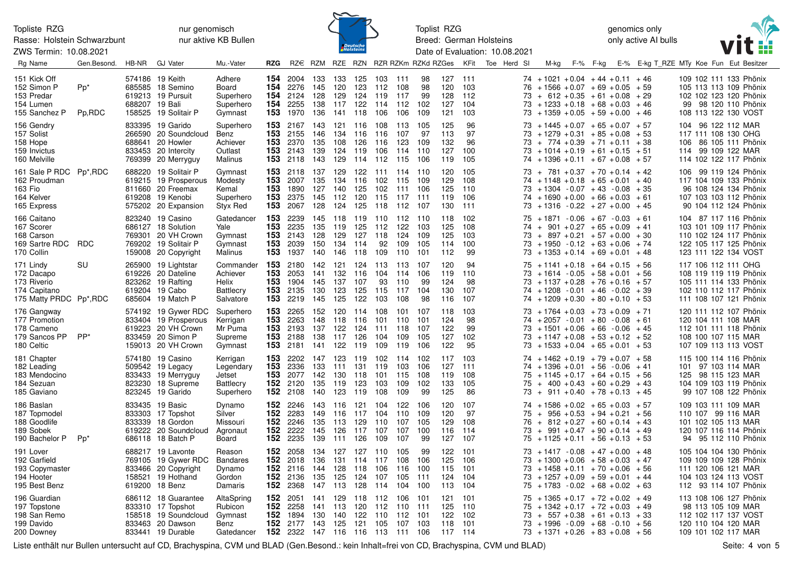Rasse: Holstein Schwarzbunt

ZWS Termin: 10.08.2021

nur genomisch nur aktive KB Bullen



Toplist RZG Breed: German Holsteins Date of Evaluation: 10.08.2021 genomics only only active AI bulls



| Rg Name                                                                           | Gen.Besond.               | HB-NR | <b>GJ Vater</b>                                                                                              | Mu.-Vater                                                        | RZG                              |                                                                      |                                 |                                         |                                             |                                     |                                         | RZ€ RZM RZE RZN RZR RZKm RZKd RZGes |                                     | KFit                            | Toe Herd SI | M-kg                                                                                                                                                                                            | F-% | F-kg |      | E-% E-kg T RZE MTy Koe Fun Eut Besitzer |  |                                                                                                                             |  |
|-----------------------------------------------------------------------------------|---------------------------|-------|--------------------------------------------------------------------------------------------------------------|------------------------------------------------------------------|----------------------------------|----------------------------------------------------------------------|---------------------------------|-----------------------------------------|---------------------------------------------|-------------------------------------|-----------------------------------------|-------------------------------------|-------------------------------------|---------------------------------|-------------|-------------------------------------------------------------------------------------------------------------------------------------------------------------------------------------------------|-----|------|------|-----------------------------------------|--|-----------------------------------------------------------------------------------------------------------------------------|--|
| 151 Kick Off<br>152 Simon P<br>153 Predar<br>154 Lumen<br>155 Sanchez P           | Pp <sup>*</sup><br>Pp,RDC |       | 574186 19 Keith<br>685585 18 Semino<br>619213 19 Pursuit<br>688207 19 Bali<br>158525 19 Solitair P           | Adhere<br>Board<br>Superhero<br>Superhero<br>Gymnast             | 154<br>154<br>154<br>154<br>153  | 2004 133<br>2276<br>2124<br>2255<br>1970                             | 145<br>128<br>138<br>136        | 120<br>129                              | 133 125<br>123<br>124<br>117 122<br>141 118 | 103 111<br>112<br>119<br>114<br>106 | 108<br>117<br>112<br>106                | 98<br>98<br>99<br>102<br>109        | 127 111<br>120<br>128<br>127<br>121 | 103<br>112<br>104<br>103        |             | $74 + 1021 + 0.04 + 44 + 0.11 + 46$<br>$76 + 1566 + 0.07 + 69 + 0.05 + 59$<br>$73 + 612 + 0.35 + 61 + 0.08 + 29$<br>$73 + 1233 + 0.18 + 68 + 0.03 + 46$<br>$73 + 1359 + 0.05 + 59 + 0.00$       |     |      | + 46 |                                         |  | 109 102 111 133 Phönix<br>105 113 113 109 Phönix<br>102 102 123 120 Phönix<br>99 98 120 110 Phönix<br>108 113 122 130 VOST  |  |
| 156 Gendry<br>157 Solist<br>158 Hope<br>159 Invictus<br>160 Melville              |                           |       | 833395 19 Garido<br>266590 20 Soundcloud<br>688641 20 Howler<br>833453 20 Intercity<br>769399 20 Merryguy    | Superhero<br>Benz<br>Achiever<br>Outlast<br>Malinus              | 153<br>153<br>153<br>153.<br>153 | 2167<br>2155<br>2370<br>2143<br>2118                                 | 143<br>146<br>135<br>139<br>143 | 134<br>108<br>124 119<br>129            | 121 116<br>116<br>126<br>114                | 108<br>116<br>116<br>106<br>112     | 113<br>107<br>123<br>114<br>115         | 105<br>97<br>109<br>110<br>106      | 125<br>113<br>132<br>127<br>119     | 96<br>97<br>96<br>100<br>105    |             | $73 + 1445 + 0.07 + 65 + 0.07 + 57$<br>$73 + 1279 + 0.31 + 85 + 0.08 + 53$<br>$73 + 774 + 0.39 + 71 + 0.11 + 38$<br>$73 + 1014 + 0.19 + 61 + 0.15 + 51$<br>$74 + 1396 + 0.11 + 67 + 0.08 + 57$  |     |      |      |                                         |  | 104 96 122 112 MAR<br>117 111 108 130 OHG<br>106 86 105 111 Phönix<br>114 99 109 122 MAR<br>114 102 122 117 Phönix          |  |
| 161 Sale P RDC Pp*, RDC<br>162 Proudman<br>163 Fio<br>164 Kelver<br>165 Express   |                           |       | 688220 19 Solitair P<br>619215 19 Prosperous<br>811660 20 Freemax<br>619208 19 Kenobi<br>575202 20 Expansion | Gymnast<br>Modesty<br>Kemal<br>Superhero<br>Styx Red             | 153<br>153<br>153<br>153<br>153  | 2118<br>2007<br>1890<br>2375<br>2067                                 | 137<br>135<br>127<br>145<br>128 | 129<br>134 116<br>140<br>112            | 122 111<br>125<br>120<br>124 125            | 102<br>102<br>115<br>118 112 107    | 114 110<br>115<br>111<br>117            | 109<br>106<br>-111                  | 120<br>129<br>125<br>119<br>130     | 105<br>108<br>110<br>106<br>111 |             | $73 + 781 + 0.37 + 70 + 0.14 + 42$<br>$74 + 1148 + 0.18 + 65 + 0.01 + 40$<br>$73 + 1304 - 0.07 + 43 - 0.08 + 35$<br>$74 + 1690 + 0.00 + 66 + 0.03 + 61$<br>$73 + 1316 - 0.22 + 27 + 0.00 + 45$  |     |      |      |                                         |  | 106 99 119 124 Phönix<br>117 104 109 133 Phönix<br>96 108 124 134 Phönix<br>107 103 103 112 Phönix<br>90 104 112 124 Phönix |  |
| 166 Caitano<br>167 Scorer<br>168 Carson<br>169 Sartre RDC RDC<br>170 Collin       |                           |       | 823240 19 Casino<br>686127 18 Solution<br>769301 20 VH Crown<br>769202 19 Solitair P<br>159008 20 Copyright  | Gatedancer<br>Yale<br>Gymnast<br>Gymnast<br>Malinus              | 153<br>153<br>153<br>153<br>153  | 2239<br>2235<br>2143<br>2039<br>1937                                 | 145<br>135<br>128<br>150<br>140 | 118 119<br>119<br>129<br>134 114<br>146 | 125<br>127<br>118                           | 112<br>118<br>92<br>109             | 110 112 110<br>122<br>124<br>109<br>110 | 103<br>109<br>105<br>101            | 118<br>125<br>125<br>114<br>112     | 102<br>108<br>103<br>100<br>99  |             | $75 + 1871 - 0.06 + 67 - 0.03 + 61$<br>$74 + 901 + 0.27 + 65 + 0.09 + 41$<br>$73 + 897 + 0.21 + 57 + 0.00 + 30$<br>$73 + 1950 - 0.12 + 63 + 0.06 + 74$<br>$73 + 1353 + 0.14 + 69 + 0.01 + 48$   |     |      |      |                                         |  | 104 87 117 116 Phönix<br>103 101 109 117 Phönix<br>110 102 124 117 Phönix<br>122 105 117 125 Phönix<br>123 111 122 134 VOST |  |
| 171 Lindy<br>172 Dacapo<br>173 Riverio<br>174 Capitano<br>175 Matty PRDC Pp*, RDC | SU                        |       | 265900 19 Lightstar<br>619226 20 Dateline<br>823262 19 Rafting<br>619204 19 Cabo<br>685604 19 Match P        | Commander<br>Achiever<br>Helix<br>Battlecry<br>Salvatore         | 153<br>153<br>153<br>153<br>153  | 2180<br>2053<br>1904<br>2135<br>2219                                 | 142<br>141<br>145<br>130<br>145 | 121<br>132<br>137<br>123<br>125         | 124<br>- 116<br>107<br>125<br>122           | 113<br>104<br>93<br>115<br>103      | - 113<br>114<br>110<br>117<br>108       | -107<br>106<br>99<br>104<br>98      | 120<br>119<br>124<br>130<br>116     | 94<br>110<br>98<br>107<br>107   |             | $75 + 1141 + 0.18 + 64 + 0.15 + 56$<br>$73 + 1614 - 0.05 + 58 + 0.01 + 56$<br>$73 + 1137 + 0.28 + 76 + 0.16 + 57$<br>$74 + 1208 - 0.01 + 46 - 0.02 + 39$<br>$74 + 1209 + 0.30 + 80 + 0.10 + 53$ |     |      |      |                                         |  | 117 106 112 111 OHG<br>108 119 119 119 Phönix<br>105 111 114 133 Phönix<br>102 110 112 117 Phönix<br>111 108 107 121 Phönix |  |
| 176 Gangway<br>177 Promotion<br>178 Cameno<br>179 Sancos PP<br>180 Celtic         | $PP^*$                    |       | 574192 19 Gywer RDC<br>833404 19 Prosperous<br>619223 20 VH Crown<br>833459 20 Simon P<br>159013 20 VH Crown | Superhero<br>Kerrigan<br>Mr Puma<br>Supreme<br>Gymnast           | 153<br>153<br>153<br>153<br>153  | 2265<br>2263<br>2193<br>2188<br>2181                                 | 152<br>148<br>137<br>138<br>141 | 120<br>118<br>122<br>117<br>122 119     | 114<br>116<br>124<br>126                    | 108<br>101<br>111<br>104<br>109     | 101<br>110<br>118<br>109<br>119         | 107<br>101<br>107<br>105<br>106     | 118<br>124<br>122<br>127<br>122     | 103<br>98<br>99<br>102<br>95    |             | $73 + 1764 + 0.03 + 73 + 0.09 + 71$<br>$74 + 2057 - 0.01 + 80 - 0.08 + 61$<br>$73 + 1501 + 0.06 + 66 - 0.06 + 45$<br>$73 + 1147 + 0.08 + 53 + 0.12 + 52$<br>$73 + 1533 + 0.04 + 65 + 0.01 + 53$ |     |      |      |                                         |  | 120 111 112 107 Phönix<br>120 104 111 108 MAR<br>112 101 111 118 Phönix<br>108 100 107 115 MAR<br>107 109 113 113 VOST      |  |
| 181 Chapter<br>182 Leading<br>183 Mendocino<br>184 Sezuan<br>185 Gaviano          |                           |       | 574180 19 Casino<br>509542 19 Legacy<br>833433 19 Merryguy<br>823230 18 Supreme<br>823245 19 Garido          | Kerrigan<br>Legendary<br>Jetset<br><b>Battlecry</b><br>Superhero | 153<br>153<br>153<br>152<br>152  | 2202<br>2336<br>2077<br>2120<br>2108                                 | 147<br>133<br>142<br>135<br>140 | 123<br>111<br>130 118<br>119<br>123 119 | 119<br>- 131<br>123                         | 102<br>119<br>101<br>103<br>108     | -114<br>103<br>115<br>109<br>109        | 102<br>106<br>108<br>102<br>99      | 117<br>127<br>119<br>133<br>125     | 103<br>111<br>108<br>105<br>86  |             | $74 + 1462 + 0.19 + 79 + 0.07 + 58$<br>$74 + 1396 + 0.01 + 56 - 0.06 + 41$<br>$75 + 1145 + 0.17 + 64 + 0.15 + 56$<br>$75 + 400 + 0.43 + 60 + 0.29 + 43$<br>$73 + 911 + 0.40 + 78 + 0.13 + 45$   |     |      |      |                                         |  | 115 100 114 116 Phönix<br>101 97 103 114 MAR<br>125 98 115 123 MAR<br>104 109 103 119 Phönix<br>99 107 108 122 Phönix       |  |
| 186 Baslan<br>187 Topmodel<br>188 Goodlife<br>189 Sobek<br>190 Bachelor P         | $Pp^*$                    |       | 833435 19 Basic<br>833303 17 Topshot<br>833339 18 Gordon<br>619222 20 Soundcloud<br>686118 18 Batch P        | Dynamo<br>Silver<br>Missouri<br>Agronaut<br>Board                | 152<br>152<br>152<br>152<br>152  | 2246<br>2283<br>2246<br>2222<br>2235                                 | 143<br>149<br>135<br>145<br>139 | 116<br>116<br>113<br>126<br>111         | 121 104<br>117<br>129<br>117<br>126         | 104<br>110<br>107<br>109            | 122<br>110<br>107<br>107<br>107         | 106<br>109<br>105<br>100<br>99      | 120<br>120<br>129<br>116<br>127     | 107<br>97<br>108<br>114<br>107  |             | $74 + 1586 + 0.02 + 65 + 0.03 + 57$<br>$75 + 956 + 0.53 + 94 + 0.21 + 56$<br>$76 + 812 + 0.27 + 60 + 0.14 + 43$<br>$73 + 991 + 0.47 + 90 + 0.14 + 49$<br>$75 + 1125 + 0.11 + 56 + 0.13 + 53$    |     |      |      |                                         |  | 109 103 111 109 MAR<br>110 107 99 116 MAR<br>101 102 105 113 MAR<br>120 107 116 114 Phönix<br>94 95 112 110 Phönix          |  |
| 191 Lover<br>192 Garfield<br>193 Copymaster<br>194 Hooter<br>195 Best Benz        |                           |       | 688217 19 Lavonte<br>769105 19 Gywer RDC<br>833466 20 Copyright<br>158521 19 Hothand<br>619200 18 Benz       | Reason<br><b>Bandares</b><br>Dynamo<br>Gordon<br>Damaris         | 152<br>152<br>152<br>152.<br>152 | 2058<br>2018<br>2116<br>2136<br>2368                                 | 134<br>136<br>144<br>135<br>147 | 127<br>131<br>125<br>113                | 127<br>114<br>128 118<br>124<br>128         | 110<br>117<br>106<br>107<br>114     | 105<br>108<br>116<br>105<br>104         | 99<br>106<br>100<br>111<br>100      | 122<br>125<br>115<br>124<br>113     | 101<br>106<br>101<br>104<br>104 |             | $73 + 1417 - 0.08 + 47 + 0.00 + 48$<br>$73 + 1300 + 0.06 + 58 + 0.03 + 47$<br>$73 + 1458 + 0.11 + 70 + 0.06 + 56$<br>$73 + 1257 + 0.09 + 59 + 0.01 + 44$<br>$75 + 1783 - 0.02 + 68 + 0.02 + 63$ |     |      |      |                                         |  | 105 104 104 130 Phönix<br>109 109 109 128 Phönix<br>111 120 106 121 MAR<br>104 103 124 113 VOST<br>112 93 114 107 Phönix    |  |
| 196 Guardian<br>197 Topstone<br>198 San Remo<br>199 Davido<br>200 Downey          |                           |       | 686112 18 Guarantee<br>833310 17 Topshot<br>158518 19 Soundcloud<br>833463 20 Dawson<br>833441 19 Durable    | AltaSpring<br>Rubicon<br>Gymnast<br>Benz<br>Gatedancer           | 152<br>152<br>152<br>152         | 2051<br>2258<br>1894<br>2177 143<br>152 2322 147 116 116 113 111 106 | 141<br>130                      | 129<br>141 113<br>140<br>125            | 118<br>120<br>122<br>121                    | 112<br>112<br>110<br>105            | 106<br>110<br>112<br>107                | -101<br>-111<br>-101<br>103         | 121<br>125<br>122<br>118<br>117 114 | 101<br>110<br>102<br>101        |             | $75 + 1365 + 0.17 + 72 + 0.02 + 49$<br>$75 + 1342 + 0.17 + 72 + 0.03 + 49$<br>$73 + 557 + 0.38 + 61 + 0.13 + 33$<br>$73 + 1996 - 0.09 + 68 - 0.10 + 56$<br>$73 + 1371 + 0.26 + 83 + 0.08 + 56$  |     |      |      |                                         |  | 113 108 106 127 Phönix<br>98 113 105 109 MAR<br>112 102 117 137 VOST<br>120 110 104 120 MAR<br>109 101 102 117 MAR          |  |

Liste enthält nur Bullen untersucht auf CD, Brachyspina, CVM und BLAD (Gen.Besond.: kein Inhalt=frei von CD, Brachyspina, CVM und BLAD)